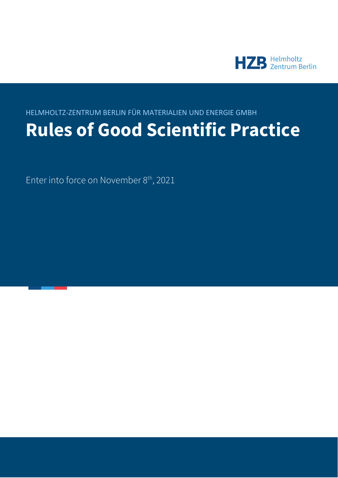

# HELMHOLTZ-ZENTRUM BERLIN FÜR MATERIALIEN UND ENERGIE GMBH **Rules of Good Scientific Practice**

Enter into force on November 8<sup>th</sup>, 2021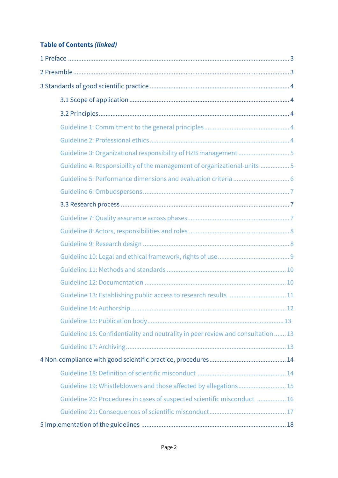# **Table of Contents** *(linked)*

| Guideline 3: Organizational responsibility of HZB management 5                   |
|----------------------------------------------------------------------------------|
| Guideline 4: Responsibility of the management of organizational-units 5          |
| Guideline 5: Performance dimensions and evaluation criteria  6                   |
|                                                                                  |
|                                                                                  |
|                                                                                  |
|                                                                                  |
|                                                                                  |
|                                                                                  |
|                                                                                  |
|                                                                                  |
| Guideline 13: Establishing public access to research results  11                 |
|                                                                                  |
|                                                                                  |
| Guideline 16: Confidentiality and neutrality in peer review and consultation  13 |
|                                                                                  |
|                                                                                  |
|                                                                                  |
| Guideline 19: Whistleblowers and those affected by allegations 15                |
| Guideline 20: Procedures in cases of suspected scientific misconduct  16         |
|                                                                                  |
|                                                                                  |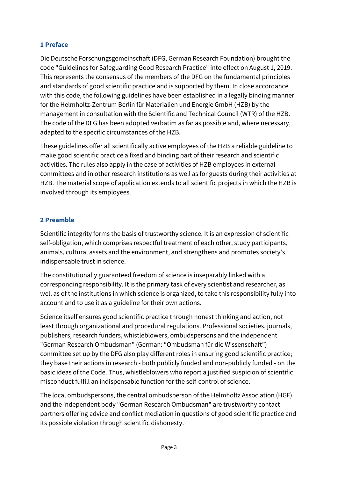### <span id="page-2-0"></span>**1 Preface**

Die Deutsche Forschungsgemeinschaft (DFG, German Research Foundation) brought the code "Guidelines for Safeguarding Good Research Practice" into effect on August 1, 2019. This represents the consensus of the members of the DFG on the fundamental principles and standards of good scientific practice and is supported by them. In close accordance with this code, the following guidelines have been established in a legally binding manner for the Helmholtz-Zentrum Berlin für Materialien und Energie GmbH (HZB) by the management in consultation with the Scientific and Technical Council (WTR) of the HZB. The code of the DFG has been adopted verbatim as far as possible and, where necessary, adapted to the specific circumstances of the HZB.

These guidelines offer all scientifically active employees of the HZB a reliable guideline to make good scientific practice a fixed and binding part of their research and scientific activities. The rules also apply in the case of activities of HZB employees in external committees and in other research institutions as well as for guests during their activities at HZB. The material scope of application extends to all scientific projects in which the HZB is involved through its employees.

### **2 Preamble**

Scientific integrity forms the basis of trustworthy science. It is an expression of scientific self-obligation, which comprises respectful treatment of each other, study participants, animals, cultural assets and the environment, and strengthens and promotes society's indispensable trust in science.

The constitutionally guaranteed freedom of science is inseparably linked with a corresponding responsibility. It is the primary task of every scientist and researcher, as well as of the institutions in which science is organized, to take this responsibility fully into account and to use it as a guideline for their own actions.

Science itself ensures good scientific practice through honest thinking and action, not least through organizational and procedural regulations. Professional societies, journals, publishers, research funders, whistleblowers, ombudspersons and the independent "German Research Ombudsman" (German: "Ombudsman für die Wissenschaft") committee set up by the DFG also play different roles in ensuring good scientific practice; they base their actions in research - both publicly funded and non-publicly funded - on the basic ideas of the Code. Thus, whistleblowers who report a justified suspicion of scientific misconduct fulfill an indispensable function for the self-control of science.

The local ombudspersons, the central ombudsperson of the Helmholtz Association (HGF) and the independent body "German Research Ombudsman" are trustworthy contact partners offering advice and conflict mediation in questions of good scientific practice and its possible violation through scientific dishonesty.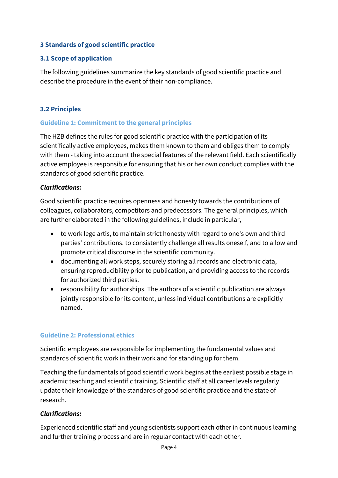#### <span id="page-3-0"></span>**3 Standards of good scientific practice**

## **3.1 Scope of application**

The following guidelines summarize the key standards of good scientific practice and describe the procedure in the event of their non-compliance.

#### **3.2 Principles**

#### **Guideline 1: Commitment to the general principles**

The HZB defines the rules for good scientific practice with the participation of its scientifically active employees, makes them known to them and obliges them to comply with them - taking into account the special features of the relevant field. Each scientifically active employee is responsible for ensuring that his or her own conduct complies with the standards of good scientific practice.

#### *Clarifications:*

Good scientific practice requires openness and honesty towards the contributions of colleagues, collaborators, competitors and predecessors. The general principles, which are further elaborated in the following guidelines, include in particular,

- to work lege artis, to maintain strict honesty with regard to one's own and third parties' contributions, to consistently challenge all results oneself, and to allow and promote critical discourse in the scientific community.
- documenting all work steps, securely storing all records and electronic data, ensuring reproducibility prior to publication, and providing access to the records for authorized third parties.
- responsibility for authorships. The authors of a scientific publication are always jointly responsible for its content, unless individual contributions are explicitly named.

## **Guideline 2: Professional ethics**

Scientific employees are responsible for implementing the fundamental values and standards of scientific work in their work and for standing up for them.

Teaching the fundamentals of good scientific work begins at the earliest possible stage in academic teaching and scientific training. Scientific staff at all career levels regularly update their knowledge of the standards of good scientific practice and the state of research.

## *Clarifications:*

Experienced scientific staff and young scientists support each other in continuous learning and further training process and are in regular contact with each other.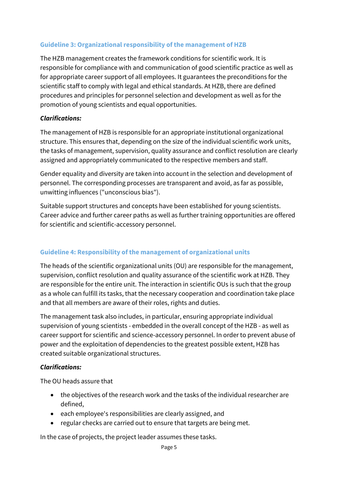## <span id="page-4-0"></span>**Guideline 3: Organizational responsibility of the management of HZB**

The HZB management creates the framework conditions for scientific work. It is responsible for compliance with and communication of good scientific practice as well as for appropriate career support of all employees. It guarantees the preconditions for the scientific staff to comply with legal and ethical standards. At HZB, there are defined procedures and principles for personnel selection and development as well as for the promotion of young scientists and equal opportunities.

## *Clarifications:*

The management of HZB is responsible for an appropriate institutional organizational structure. This ensures that, depending on the size of the individual scientific work units, the tasks of management, supervision, quality assurance and conflict resolution are clearly assigned and appropriately communicated to the respective members and staff.

Gender equality and diversity are taken into account in the selection and development of personnel. The corresponding processes are transparent and avoid, as far as possible, unwitting influences ("unconscious bias").

Suitable support structures and concepts have been established for young scientists. Career advice and further career paths as well as further training opportunities are offered for scientific and scientific-accessory personnel.

# **Guideline 4: Responsibility of the management of organizational units**

The heads of the scientific organizational units (OU) are responsible for the management, supervision, conflict resolution and quality assurance of the scientific work at HZB. They are responsible for the entire unit. The interaction in scientific OUs is such that the group as a whole can fulfill its tasks, that the necessary cooperation and coordination take place and that all members are aware of their roles, rights and duties.

The management task also includes, in particular, ensuring appropriate individual supervision of young scientists - embedded in the overall concept of the HZB - as well as career support for scientific and science-accessory personnel. In order to prevent abuse of power and the exploitation of dependencies to the greatest possible extent, HZB has created suitable organizational structures.

## *Clarifications:*

The OU heads assure that

- the objectives of the research work and the tasks of the individual researcher are defined,
- each employee's responsibilities are clearly assigned, and
- regular checks are carried out to ensure that targets are being met.

In the case of projects, the project leader assumes these tasks.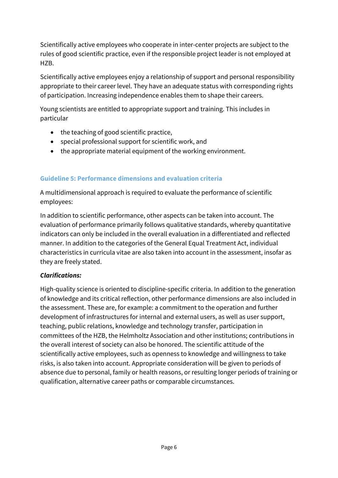<span id="page-5-0"></span>Scientifically active employees who cooperate in inter-center projects are subject to the rules of good scientific practice, even if the responsible project leader is not employed at HZB.

Scientifically active employees enjoy a relationship of support and personal responsibility appropriate to their career level. They have an adequate status with corresponding rights of participation. Increasing independence enables them to shape their careers.

Young scientists are entitled to appropriate support and training. This includes in particular

- the teaching of good scientific practice,
- special professional support for scientific work, and
- the appropriate material equipment of the working environment.

### **Guideline 5: Performance dimensions and evaluation criteria**

A multidimensional approach is required to evaluate the performance of scientific employees:

In addition to scientific performance, other aspects can be taken into account. The evaluation of performance primarily follows qualitative standards, whereby quantitative indicators can only be included in the overall evaluation in a differentiated and reflected manner. In addition to the categories of the General Equal Treatment Act, individual characteristics in curricula vitae are also taken into account in the assessment, insofar as they are freely stated.

#### *Clarifications:*

High-quality science is oriented to discipline-specific criteria. In addition to the generation of knowledge and its critical reflection, other performance dimensions are also included in the assessment. These are, for example: a commitment to the operation and further development of infrastructures for internal and external users, as well as user support, teaching, public relations, knowledge and technology transfer, participation in committees of the HZB, the Helmholtz Association and other institutions; contributions in the overall interest of society can also be honored. The scientific attitude of the scientifically active employees, such as openness to knowledge and willingness to take risks, is also taken into account. Appropriate consideration will be given to periods of absence due to personal, family or health reasons, or resulting longer periods of training or qualification, alternative career paths or comparable circumstances.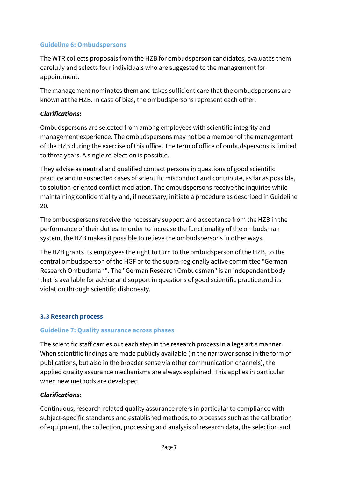#### <span id="page-6-0"></span>**Guideline 6: Ombudspersons**

The WTR collects proposals from the HZB for ombudsperson candidates, evaluates them carefully and selects four individuals who are suggested to the management for appointment.

The management nominates them and takes sufficient care that the ombudspersons are known at the HZB. In case of bias, the ombudspersons represent each other.

### *Clarifications:*

Ombudspersons are selected from among employees with scientific integrity and management experience. The ombudspersons may not be a member of the management of the HZB during the exercise of this office. The term of office of ombudspersons is limited to three years. A single re-election is possible.

They advise as neutral and qualified contact persons in questions of good scientific practice and in suspected cases of scientific misconduct and contribute, as far as possible, to solution-oriented conflict mediation. The ombudspersons receive the inquiries while maintaining confidentiality and, if necessary, initiate a procedure as described in Guideline 20.

The ombudspersons receive the necessary support and acceptance from the HZB in the performance of their duties. In order to increase the functionality of the ombudsman system, the HZB makes it possible to relieve the ombudspersons in other ways.

The HZB grants its employees the right to turn to the ombudsperson of the HZB, to the central ombudsperson of the HGF or to the supra-regionally active committee "German Research Ombudsman". The "German Research Ombudsman" is an independent body that is available for advice and support in questions of good scientific practice and its violation through scientific dishonesty.

#### **3.3 Research process**

#### **Guideline 7: Quality assurance across phases**

The scientific staff carries out each step in the research process in a lege artis manner. When scientific findings are made publicly available (in the narrower sense in the form of publications, but also in the broader sense via other communication channels), the applied quality assurance mechanisms are always explained. This applies in particular when new methods are developed.

#### *Clarifications:*

Continuous, research-related quality assurance refers in particular to compliance with subject-specific standards and established methods, to processes such as the calibration of equipment, the collection, processing and analysis of research data, the selection and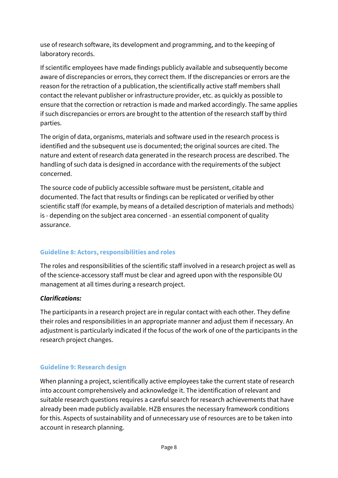<span id="page-7-0"></span>use of research software, its development and programming, and to the keeping of laboratory records.

If scientific employees have made findings publicly available and subsequently become aware of discrepancies or errors, they correct them. If the discrepancies or errors are the reason for the retraction of a publication, the scientifically active staff members shall contact the relevant publisher or infrastructure provider, etc. as quickly as possible to ensure that the correction or retraction is made and marked accordingly. The same applies if such discrepancies or errors are brought to the attention of the research staff by third parties.

The origin of data, organisms, materials and software used in the research process is identified and the subsequent use is documented; the original sources are cited. The nature and extent of research data generated in the research process are described. The handling of such data is designed in accordance with the requirements of the subject concerned.

The source code of publicly accessible software must be persistent, citable and documented. The fact that results or findings can be replicated or verified by other scientific staff (for example, by means of a detailed description of materials and methods) is - depending on the subject area concerned - an essential component of quality assurance.

# **Guideline 8: Actors, responsibilities and roles**

The roles and responsibilities of the scientific staff involved in a research project as well as of the science-accessory staff must be clear and agreed upon with the responsible OU management at all times during a research project.

# *Clarifications:*

The participants in a research project are in regular contact with each other. They define their roles and responsibilities in an appropriate manner and adjust them if necessary. An adjustment is particularly indicated if the focus of the work of one of the participants in the research project changes.

# **Guideline 9: Research design**

When planning a project, scientifically active employees take the current state of research into account comprehensively and acknowledge it. The identification of relevant and suitable research questions requires a careful search for research achievements that have already been made publicly available. HZB ensures the necessary framework conditions for this. Aspects of sustainability and of unnecessary use of resources are to be taken into account in research planning.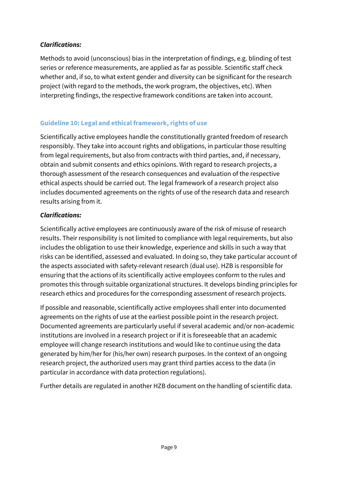## <span id="page-8-0"></span>*Clarifications:*

Methods to avoid (unconscious) bias in the interpretation of findings, e.g. blinding of test series or reference measurements, are applied as far as possible. Scientific staff check whether and, if so, to what extent gender and diversity can be significant for the research project (with regard to the methods, the work program, the objectives, etc). When interpreting findings, the respective framework conditions are taken into account.

## **Guideline 10: Legal and ethical framework, rights of use**

Scientifically active employees handle the constitutionally granted freedom of research responsibly. They take into account rights and obligations, in particular those resulting from legal requirements, but also from contracts with third parties, and, if necessary, obtain and submit consents and ethics opinions. With regard to research projects, a thorough assessment of the research consequences and evaluation of the respective ethical aspects should be carried out. The legal framework of a research project also includes documented agreements on the rights of use of the research data and research results arising from it.

### *Clarifications:*

Scientifically active employees are continuously aware of the risk of misuse of research results. Their responsibility is not limited to compliance with legal requirements, but also includes the obligation to use their knowledge, experience and skills in such a way that risks can be identified, assessed and evaluated. In doing so, they take particular account of the aspects associated with safety-relevant research (dual use). HZB is responsible for ensuring that the actions of its scientifically active employees conform to the rules and promotes this through suitable organizational structures. It develops binding principles for research ethics and procedures for the corresponding assessment of research projects.

If possible and reasonable, scientifically active employees shall enter into documented agreements on the rights of use at the earliest possible point in the research project. Documented agreements are particularly useful if several academic and/or non-academic institutions are involved in a research project or if it is foreseeable that an academic employee will change research institutions and would like to continue using the data generated by him/her for (his/her own) research purposes. In the context of an ongoing research project, the authorized users may grant third parties access to the data (in particular in accordance with data protection regulations).

Further details are regulated in another HZB document on the handling of scientific data.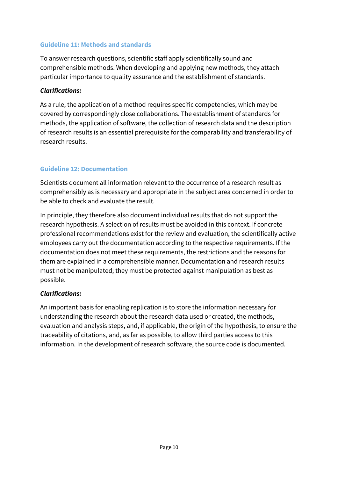#### <span id="page-9-0"></span>**Guideline 11: Methods and standards**

To answer research questions, scientific staff apply scientifically sound and comprehensible methods. When developing and applying new methods, they attach particular importance to quality assurance and the establishment of standards.

#### *Clarifications:*

As a rule, the application of a method requires specific competencies, which may be covered by correspondingly close collaborations. The establishment of standards for methods, the application of software, the collection of research data and the description of research results is an essential prerequisite for the comparability and transferability of research results.

# **Guideline 12: Documentation**

Scientists document all information relevant to the occurrence of a research result as comprehensibly as is necessary and appropriate in the subject area concerned in order to be able to check and evaluate the result.

In principle, they therefore also document individual results that do not support the research hypothesis. A selection of results must be avoided in this context. If concrete professional recommendations exist for the review and evaluation, the scientifically active employees carry out the documentation according to the respective requirements. If the documentation does not meet these requirements, the restrictions and the reasons for them are explained in a comprehensible manner. Documentation and research results must not be manipulated; they must be protected against manipulation as best as possible.

## *Clarifications:*

An important basis for enabling replication is to store the information necessary for understanding the research about the research data used or created, the methods, evaluation and analysis steps, and, if applicable, the origin of the hypothesis, to ensure the traceability of citations, and, as far as possible, to allow third parties access to this information. In the development of research software, the source code is documented.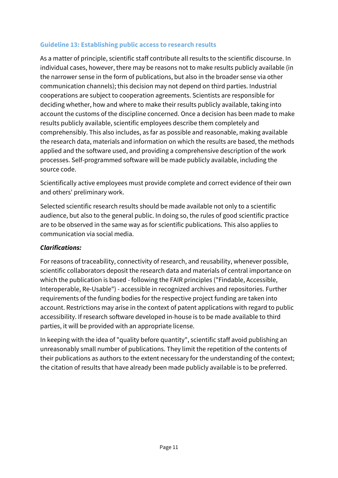### <span id="page-10-0"></span>**Guideline 13: Establishing public access to research results**

As a matter of principle, scientific staff contribute all results to the scientific discourse. In individual cases, however, there may be reasons not to make results publicly available (in the narrower sense in the form of publications, but also in the broader sense via other communication channels); this decision may not depend on third parties. Industrial cooperations are subject to cooperation agreements. Scientists are responsible for deciding whether, how and where to make their results publicly available, taking into account the customs of the discipline concerned. Once a decision has been made to make results publicly available, scientific employees describe them completely and comprehensibly. This also includes, as far as possible and reasonable, making available the research data, materials and information on which the results are based, the methods applied and the software used, and providing a comprehensive description of the work processes. Self-programmed software will be made publicly available, including the source code.

Scientifically active employees must provide complete and correct evidence of their own and others' preliminary work.

Selected scientific research results should be made available not only to a scientific audience, but also to the general public. In doing so, the rules of good scientific practice are to be observed in the same way as for scientific publications. This also applies to communication via social media.

#### *Clarifications:*

For reasons of traceability, connectivity of research, and reusability, whenever possible, scientific collaborators deposit the research data and materials of central importance on which the publication is based - following the FAIR principles ("Findable, Accessible, Interoperable, Re-Usable") - accessible in recognized archives and repositories. Further requirements of the funding bodies for the respective project funding are taken into account. Restrictions may arise in the context of patent applications with regard to public accessibility. If research software developed in-house is to be made available to third parties, it will be provided with an appropriate license.

In keeping with the idea of "quality before quantity", scientific staff avoid publishing an unreasonably small number of publications. They limit the repetition of the contents of their publications as authors to the extent necessary for the understanding of the context; the citation of results that have already been made publicly available is to be preferred.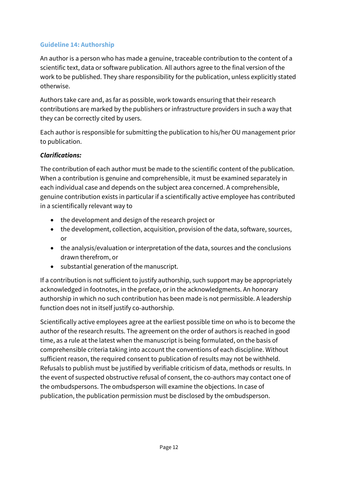### <span id="page-11-0"></span>**Guideline 14: Authorship**

An author is a person who has made a genuine, traceable contribution to the content of a scientific text, data or software publication. All authors agree to the final version of the work to be published. They share responsibility for the publication, unless explicitly stated otherwise.

Authors take care and, as far as possible, work towards ensuring that their research contributions are marked by the publishers or infrastructure providers in such a way that they can be correctly cited by users.

Each author is responsible for submitting the publication to his/her OU management prior to publication.

### *Clarifications:*

The contribution of each author must be made to the scientific content of the publication. When a contribution is genuine and comprehensible, it must be examined separately in each individual case and depends on the subject area concerned. A comprehensible, genuine contribution exists in particular if a scientifically active employee has contributed in a scientifically relevant way to

- the development and design of the research project or
- the development, collection, acquisition, provision of the data, software, sources, or
- the analysis/evaluation or interpretation of the data, sources and the conclusions drawn therefrom, or
- substantial generation of the manuscript.

If a contribution is not sufficient to justify authorship, such support may be appropriately acknowledged in footnotes, in the preface, or in the acknowledgments. An honorary authorship in which no such contribution has been made is not permissible. A leadership function does not in itself justify co-authorship.

Scientifically active employees agree at the earliest possible time on who is to become the author of the research results. The agreement on the order of authors is reached in good time, as a rule at the latest when the manuscript is being formulated, on the basis of comprehensible criteria taking into account the conventions of each discipline. Without sufficient reason, the required consent to publication of results may not be withheld. Refusals to publish must be justified by verifiable criticism of data, methods or results. In the event of suspected obstructive refusal of consent, the co-authors may contact one of the ombudspersons. The ombudsperson will examine the objections. In case of publication, the publication permission must be disclosed by the ombudsperson.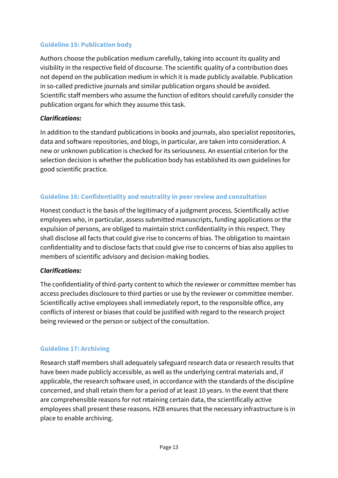#### <span id="page-12-0"></span>**Guideline 15: Publication body**

Authors choose the publication medium carefully, taking into account its quality and visibility in the respective field of discourse. The scientific quality of a contribution does not depend on the publication medium in which it is made publicly available. Publication in so-called predictive journals and similar publication organs should be avoided. Scientific staff members who assume the function of editors should carefully consider the publication organs for which they assume this task.

#### *Clarifications:*

In addition to the standard publications in books and journals, also specialist repositories, data and software repositories, and blogs, in particular, are taken into consideration. A new or unknown publication is checked for its seriousness. An essential criterion for the selection decision is whether the publication body has established its own guidelines for good scientific practice.

## **Guideline 16: Confidentiality and neutrality in peer review and consultation**

Honest conduct is the basis of the legitimacy of a judgment process. Scientifically active employees who, in particular, assess submitted manuscripts, funding applications or the expulsion of persons, are obliged to maintain strict confidentiality in this respect. They shall disclose all facts that could give rise to concerns of bias. The obligation to maintain confidentiality and to disclose facts that could give rise to concerns of bias also applies to members of scientific advisory and decision-making bodies.

## *Clarifications:*

The confidentiality of third-party content to which the reviewer or committee member has access precludes disclosure to third parties or use by the reviewer or committee member. Scientifically active employees shall immediately report, to the responsible office, any conflicts of interest or biases that could be justified with regard to the research project being reviewed or the person or subject of the consultation.

## **Guideline 17: Archiving**

Research staff members shall adequately safeguard research data or research results that have been made publicly accessible, as well as the underlying central materials and, if applicable, the research software used, in accordance with the standards of the discipline concerned, and shall retain them for a period of at least 10 years. In the event that there are comprehensible reasons for not retaining certain data, the scientifically active employees shall present these reasons. HZB ensures that the necessary infrastructure is in place to enable archiving.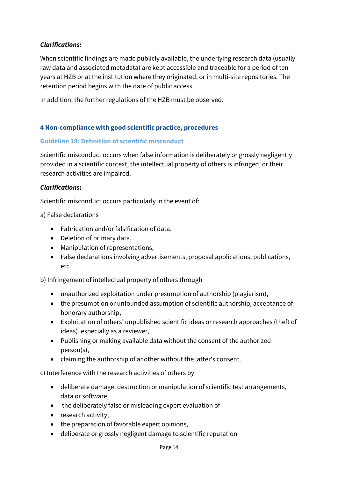### <span id="page-13-0"></span>*Clarifications:*

When scientific findings are made publicly available, the underlying research data (usually raw data and associated metadata) are kept accessible and traceable for a period of ten years at HZB or at the institution where they originated, or in multi-site repositories. The retention period begins with the date of public access.

In addition, the further regulations of the HZB must be observed.

#### **4 Non-compliance with good scientific practice, procedures**

#### **Guideline 18: Definition of scientific misconduct**

Scientific misconduct occurs when false information is deliberately or grossly negligently provided in a scientific context, the intellectual property of others is infringed, or their research activities are impaired.

#### *Clarifications***:**

Scientific misconduct occurs particularly in the event of:

a) False declarations

- Fabrication and/or falsification of data,
- Deletion of primary data,
- Manipulation of representations,
- False declarations involving advertisements, proposal applications, publications, etc.

b) Infringement of intellectual property of others through

- unauthorized exploitation under presumption of authorship (plagiarism),
- the presumption or unfounded assumption of scientific authorship, acceptance of honorary authorship,
- Exploitation of others' unpublished scientific ideas or research approaches (theft of ideas), especially as a reviewer,
- Publishing or making available data without the consent of the authorized person(s),
- claiming the authorship of another without the latter's consent.

c) Interference with the research activities of others by

- deliberate damage, destruction or manipulation of scientific test arrangements, data or software,
- the deliberately false or misleading expert evaluation of
- research activity,
- the preparation of favorable expert opinions,
- deliberate or grossly negligent damage to scientific reputation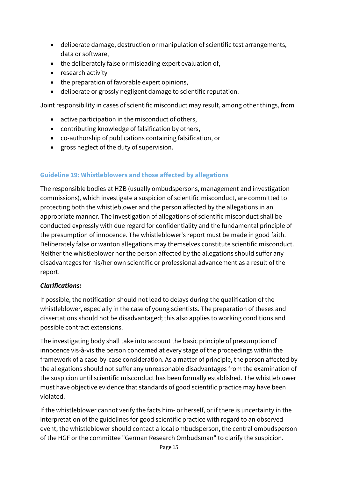- <span id="page-14-0"></span>• deliberate damage, destruction or manipulation of scientific test arrangements, data or software,
- the deliberately false or misleading expert evaluation of,
- research activity
- the preparation of favorable expert opinions,
- deliberate or grossly negligent damage to scientific reputation.

Joint responsibility in cases of scientific misconduct may result, among other things, from

- active participation in the misconduct of others,
- contributing knowledge of falsification by others,
- co-authorship of publications containing falsification, or
- gross neglect of the duty of supervision.

#### **Guideline 19: Whistleblowers and those affected by allegations**

The responsible bodies at HZB (usually ombudspersons, management and investigation commissions), which investigate a suspicion of scientific misconduct, are committed to protecting both the whistleblower and the person affected by the allegations in an appropriate manner. The investigation of allegations of scientific misconduct shall be conducted expressly with due regard for confidentiality and the fundamental principle of the presumption of innocence. The whistleblower's report must be made in good faith. Deliberately false or wanton allegations may themselves constitute scientific misconduct. Neither the whistleblower nor the person affected by the allegations should suffer any disadvantages for his/her own scientific or professional advancement as a result of the report.

#### *Clarifications:*

If possible, the notification should not lead to delays during the qualification of the whistleblower, especially in the case of young scientists. The preparation of theses and dissertations should not be disadvantaged; this also applies to working conditions and possible contract extensions.

The investigating body shall take into account the basic principle of presumption of innocence vis-à-vis the person concerned at every stage of the proceedings within the framework of a case-by-case consideration. As a matter of principle, the person affected by the allegations should not suffer any unreasonable disadvantages from the examination of the suspicion until scientific misconduct has been formally established. The whistleblower must have objective evidence that standards of good scientific practice may have been violated.

If the whistleblower cannot verify the facts him- or herself, or if there is uncertainty in the interpretation of the guidelines for good scientific practice with regard to an observed event, the whistleblower should contact a local ombudsperson, the central ombudsperson of the HGF or the committee "German Research Ombudsman" to clarify the suspicion.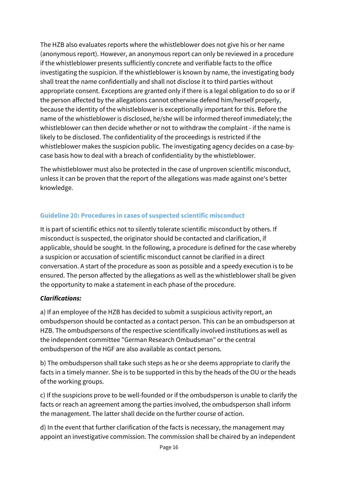<span id="page-15-0"></span>The HZB also evaluates reports where the whistleblower does not give his or her name (anonymous report). However, an anonymous report can only be reviewed in a procedure if the whistleblower presents sufficiently concrete and verifiable facts to the office investigating the suspicion. If the whistleblower is known by name, the investigating body shall treat the name confidentially and shall not disclose it to third parties without appropriate consent. Exceptions are granted only if there is a legal obligation to do so or if the person affected by the allegations cannot otherwise defend him/herself properly, because the identity of the whistleblower is exceptionally important for this. Before the name of the whistleblower is disclosed, he/she will be informed thereof immediately; the whistleblower can then decide whether or not to withdraw the complaint - if the name is likely to be disclosed. The confidentiality of the proceedings is restricted if the whistleblower makes the suspicion public. The investigating agency decides on a case-bycase basis how to deal with a breach of confidentiality by the whistleblower.

The whistleblower must also be protected in the case of unproven scientific misconduct, unless it can be proven that the report of the allegations was made against one's better knowledge.

# **Guideline 20: Procedures in cases of suspected scientific misconduct**

It is part of scientific ethics not to silently tolerate scientific misconduct by others. If misconduct is suspected, the originator should be contacted and clarification, if applicable, should be sought. In the following, a procedure is defined for the case whereby a suspicion or accusation of scientific misconduct cannot be clarified in a direct conversation. A start of the procedure as soon as possible and a speedy execution is to be ensured. The person affected by the allegations as well as the whistleblower shall be given the opportunity to make a statement in each phase of the procedure.

## *Clarifications:*

a) If an employee of the HZB has decided to submit a suspicious activity report, an ombudsperson should be contacted as a contact person. This can be an ombudsperson at HZB. The ombudspersons of the respective scientifically involved institutions as well as the independent committee "German Research Ombudsman" or the central ombudsperson of the HGF are also available as contact persons.

b) The ombudsperson shall take such steps as he or she deems appropriate to clarify the facts in a timely manner. She is to be supported in this by the heads of the OU or the heads of the working groups.

c) If the suspicions prove to be well-founded or if the ombudsperson is unable to clarify the facts or reach an agreement among the parties involved, the ombudsperson shall inform the management. The latter shall decide on the further course of action.

d) In the event that further clarification of the facts is necessary, the management may appoint an investigative commission. The commission shall be chaired by an independent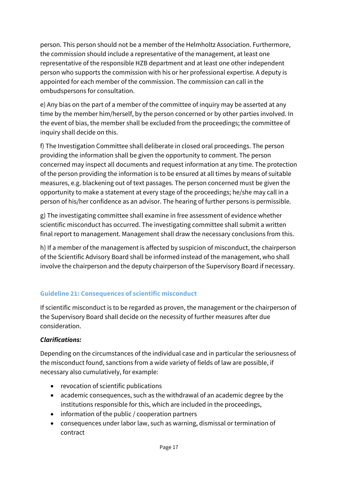<span id="page-16-0"></span>person. This person should not be a member of the Helmholtz Association. Furthermore, the commission should include a representative of the management, at least one representative of the responsible HZB department and at least one other independent person who supports the commission with his or her professional expertise. A deputy is appointed for each member of the commission. The commission can call in the ombudspersons for consultation.

e) Any bias on the part of a member of the committee of inquiry may be asserted at any time by the member him/herself, by the person concerned or by other parties involved. In the event of bias, the member shall be excluded from the proceedings; the committee of inquiry shall decide on this.

f) The Investigation Committee shall deliberate in closed oral proceedings. The person providing the information shall be given the opportunity to comment. The person concerned may inspect all documents and request information at any time. The protection of the person providing the information is to be ensured at all times by means of suitable measures, e.g. blackening out of text passages. The person concerned must be given the opportunity to make a statement at every stage of the proceedings; he/she may call in a person of his/her confidence as an advisor. The hearing of further persons is permissible.

g) The investigating committee shall examine in free assessment of evidence whether scientific misconduct has occurred. The investigating committee shall submit a written final report to management. Management shall draw the necessary conclusions from this.

h) If a member of the management is affected by suspicion of misconduct, the chairperson of the Scientific Advisory Board shall be informed instead of the management, who shall involve the chairperson and the deputy chairperson of the Supervisory Board if necessary.

# **Guideline 21: Consequences of scientific misconduct**

If scientific misconduct is to be regarded as proven, the management or the chairperson of the Supervisory Board shall decide on the necessity of further measures after due consideration.

# *Clarifications:*

Depending on the circumstances of the individual case and in particular the seriousness of the misconduct found, sanctions from a wide variety of fields of law are possible, if necessary also cumulatively, for example:

- revocation of scientific publications
- academic consequences, such as the withdrawal of an academic degree by the institutions responsible for this, which are included in the proceedings,
- information of the public / cooperation partners
- consequences under labor law, such as warning, dismissal or termination of contract